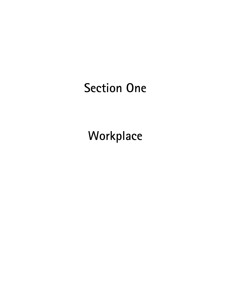# Section One

Workplace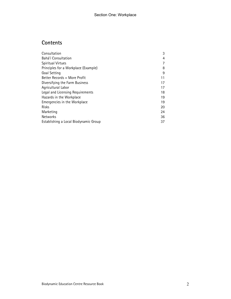## **Contents**

| Consultation                          | 3  |
|---------------------------------------|----|
| Bahá'í Consultation                   | 4  |
| <b>Spiritual Virtues</b>              |    |
| Principles for a Workplace (Example)  | 8  |
| Goal Setting                          | 9  |
| Better Records = More Profit          | 11 |
| Diversifying the Farm Business        | 17 |
| Agricultural Labor                    | 17 |
| Legal and Licensing Requirements      | 18 |
| Hazards in the Workplace              | 19 |
| Emergencies in the Workplace          | 19 |
| <b>Risks</b>                          | 20 |
| Marketing                             | 24 |
| <b>Networks</b>                       | 36 |
| Establishing a Local Biodynamic Group | 37 |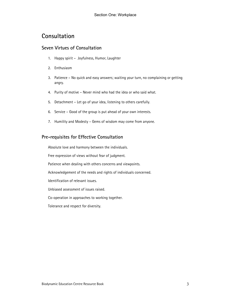# Consultation

### Seven Virtues of Consultation

- 1. Happy spirit Joyfulness, Humor, Laughter
- 2. Enthusiasm
- 3. Patience No quick and easy answers; waiting your turn, no complaining or getting angry.
- 4. Purity of motive Never mind who had the idea or who said what.
- 5. Detachment Let go of your idea, listening to others carefully.
- 6. Service Good of the group is put ahead of your own interests.
- 7. Humility and Modesty Gems of wisdom may come from anyone.

### Pre-requisites for Effective Consultation

Absolute love and harmony between the individuals.

Free expression of views without fear of judgment.

Patience when dealing with others concerns and viewpoints.

Acknowledgement of the needs and rights of individuals concerned.

Identification of relevant issues.

Unbiased assessment of issues raised.

Co-operation in approaches to working together.

Tolerance and respect for diversity.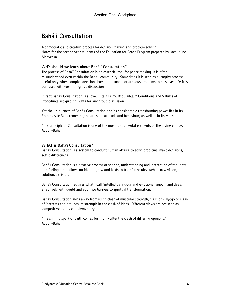# Bahá'í Consultation

A democratic and creative process for decision making and problem solving. Notes for the second year students of the Education for Peace Program prepared by Jacqueline Medvecka.

#### WHY should we learn about Bahá'í Consultation?

The process of Bahá'í Consultation is an essential tool for peace making. It is often misunderstood even within the Bahá'í community. Sometimes it is seen as a lengthy process useful only when complex decisions have to be made, or arduous problems to be solved. Or it is confused with common group discussion.

In fact Bahá'í Consultation is a jewel. Its 7 Prime Requisites, 2 Conditions and 5 Rules of Procedures are guiding lights for any group discussion.

Yet the uniqueness of Bahá'í Consultation and its considerable transforming power lies in its Prerequisite Requirements [prepare soul, attitude and behaviour] as well as in its Method.

"The principle of Consultation is one of the most fundamental elements of the divine edifice." Adbu'l-Baha

#### WHAT is Bahá'í Consultation?

Bahá'í Consultation is a system to conduct human affairs, to solve problems, make decisions, settle differences.

Bahá'í Consultation is a creative process of sharing, understanding and interacting of thoughts and feelings that allows an idea to grow and leads to truthful results such as new vision, solution, decision.

Bahá'í Consultation requires what I call "intellectual rigour and emotional vigour" and deals effectively with doubt and ego, two barriers to spiritual transformation.

Bahá'í Consultation shies away from using clash of muscular strength, clash of will/ego or clash of interests and grounds its strength in the clash of ideas. Different views are not seen as competitive but as complementary.

"The shining spark of truth comes forth only after the clash of differing opinions." Adbu'l-Baha.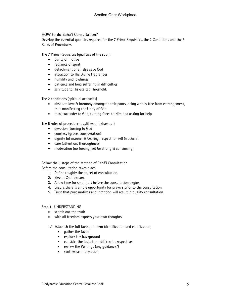#### HOW to do Bahá'í Consultation?

Develop the essential qualities required for the 7 Prime Requisites, the 2 Conditions and the 5 Rules of Procedures

The 7 Prime Requisites (qualities of the soul):

- purity of motive
- radiance of spirit
- detachment of all else save God
- attraction to His Divine Fragrances
- humility and lowliness
- patience and long suffering in difficulties
- servitude to His exalted Threshold.

The 2 conditions (spiritual attitudes)

- absolute love & harmony amongst participants, being wholly free from estrangement, thus manifesting the Unity of God
- total surrender to God, turning faces to Him and asking for help.

The 5 rules of procedure (qualities of behaviour)

- devotion (turning to God)
- courtesy (grace, consideration)
- dignity (of manner & bearing, respect for self & others)
- care (attention, thoroughness)
- moderation (no forcing, yet be strong & convincing)

Follow the 3 steps of the Method of Bahá'í Consultation Before the consultation takes place

- 1. Define roughly the object of consultation.
- 2. Elect a Chairperson.
- 3. Allow time for small talk before the consultation begins.
- 4. Ensure there is ample opportunity for prayers prior to the consultation.
- 5. Trust that pure motives and intention will result in quality consultation.

#### Step 1. UNDERSTANDING

- search out the truth
- with all freedom express your own thoughts.
- 1.1 Establish the full facts (problem identification and clarification)
	- gather the facts
	- explore the background
	- consider the facts from different perspectives
	- review the Writings (any guidance?)
	- synthesise information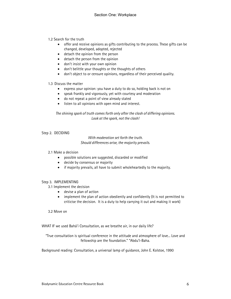- 1.2 Search for the truth
	- offer and receive opinions as gifts contributing to the process. These gifts can be changed, developed, adopted, rejected
	- detach the opinion from the person
	- detach the person from the opinion
	- don't insist with your own opinion
	- don't belittle your thoughts or the thoughts of others
	- don't object to or censure opinions, regardless of their perceived quality.

#### 1.3 Discuss the matter

- express your opinion: you have a duty to do so, holding back is not on
- speak frankly and vigorously, yet with courtesy and moderation
- do not repeat a point of view already stated
- listen to all opinions with open mind and interest.

The shining spark of truth comes forth only after the clash of differing opinions. Look at the spark, not the clash!

#### Step 2. DECIDING

With moderation set forth the truth. Should differences arise, the majority prevails.

#### 2.1 Make a decision

- possible solutions are suggested, discarded or modified
- decide by consensus or majority
- if majority prevails, all have to submit wholeheartedly to the majority.

#### Step 3. IMPLEMENTING

- 3.1 Implement the decision
	- devise a plan of action
	- implement the plan of action obediently and confidently (It is not permitted to criticise the decision. It is a duty to help carrying it out and making it work)

3.2 Move on

WHAT IF we used Bahá'í Consultation, as we breathe air, in our daily life?

"True consultation is spiritual conference in the attitude and atmosphere of love... Love and fellowship are the foundation." "Abdu'l-Baha.

Background reading: Consultation, a universal lamp of guidance, John E. Kolstoe, 1990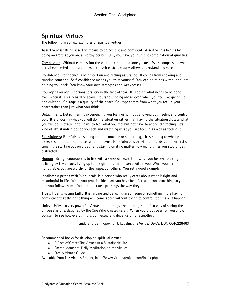# Spiritual Virtues

The following are a few examples of spiritual virtues.

Assertiveness: Being assertive means to be positive and confident. Assertiveness begins by being aware that you are a worthy person. Only you have your unique combination of qualities.

Compassion: Without compassion the world is a hard and lonely place. With compassion, we are all connected and hard times are much easier because others understand and care.

Confidence: Confidence is being certain and feeling assurance. It comes from knowing and trusting someone. Self-confidence means you trust yourself. You can do things without doubts holding you back. You know your own strengths and weaknesses.

Courage: Courage is personal bravery in the face of fear. It is doing what needs to be done even when it is really hard or scary. Courage is going ahead even when you feel like giving up and quitting. Courage is a quality of the heart. Courage comes from what you feel in your heart rather than just what you think.

Detachment: Detachment is experiencing you feelings without allowing your feelings to control you. It is choosing what you will do in a situation rather than having the situation dictate what you will do. Detachment means to feel what you feel but not have to act on the feeling. It's kind of like standing beside yourself and watching what you are feeling as well as feeling it.

Faithfulness: Faithfulness is being true to someone or something, It is holding to what you believe is important no matter what happens. Faithfulness is belief that stands up to the test of time. It is starting out on a path and staying on it no matter how many times you stop or get distracted.

Honour: Being honourable is to live with a sense of respect for what you believe to be right. It is living by the virtues, living up to the gifts that God placed within you. When you are honourable, you are worthy of the respect of others. You set a good example.

Idealism: A person with 'high ideals' is a person who really cares about what is right and meaningful in life. When you practice idealism, you have beliefs that mean something to you and you follow them. You don't just accept things the way they are.

Trust: Trust is having faith. It is relying and believing in someone or something. It is having confidence that the right thing will come about without trying to control it or make it happen.

Unity: Unity is a very powerful Virtue, and it brings great strength. It is a way of seeing the universe as one, designed by the One Who created us all. When you practice unity, you allow yourself to see how everything is connected and depends on one another.

Linda and Dan Popov, Dr J. Kavelin, The Virtues Guide, ISBN 0646228463

Recommended books for developing spiritual virtues:

- A Pace of Grace: The Virtues of a Sustainable Life
- Sacred Moments: Daily Meditation on the Virtues
- Family Virtues Guide.

Available from The Virtues Project, http://www.virtuesproject.com/index.php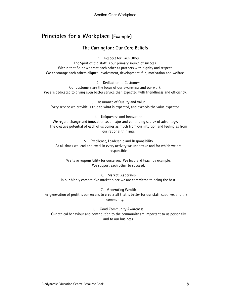# Principles for a Workplace (Example)

### The Carrington: Our Core Beliefs

1. Respect for Each Other

The Spirit of the staff is our primary source of success. Within that Spirit we treat each other as partners with dignity and respect. We encourage each others aligned involvement, development, fun, motivation and welfare.

2. Dedication to Customers

Our customers are the focus of our awareness and our work. We are dedicated to giving even better service than expected with friendliness and efficiency.

3. Assurance of Quality and Value Every service we provide is true to what is expected, and exceeds the value expected.

4. Uniqueness and Innovation

We regard change and innovation as a major and continuing source of advantage. The creative potential of each of us comes as much from our intuition and feeling as from our rational thinking.

5. Excellence, Leadership and Responsibility At all times we lead and excel in every activity we undertake and for which we are responsible.

We take responsibility for ourselves. We lead and teach by example. We support each other to succeed.

6. Market Leadership In our highly competitive market place we are committed to being the best.

7. Generating Wealth The generation of profit is our means to create all that is better for our staff, suppliers and the community.

8. Good Community Awareness

Our ethical behaviour and contribution to the community are important to us personally and to our business.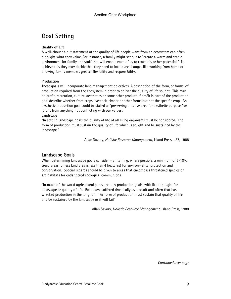# Goal Setting

#### Quality of Life

A well-thought-out statement of the quality of life people want from an ecosystem can often highlight what they value. For instance, a family might set out to "create a warm and stable environment for family and staff that will enable each of us to reach his or her potential." To achieve this they may decide that they need to introduce changes like working from home or allowing family members greater flexibility and responsibility.

#### Production

These goals will incorporate land management objectives. A description of the form, or forms, of production required from the ecosystem in order to deliver the quality of life sought. This may be profit, recreation, culture, aesthetics or some other product. If profit is part of the production goal describe whether from crops livestock, timber or other forms but not the specific crop. An aesthetic production goal could be stated as 'preserving a native area for aesthetic purposes' or 'profit from anything not conflicting with our values'.

#### Landscape

"In setting landscape goals the quality of life of all living organisms must be considered. The form of production must sustain the quality of life which is sought and be sustained by the landscape."

Allan Savory, Holistic Resource Management, Island Press, p57, 1988

### Landscape Goals

When determining landscape goals consider maintaining, where possible, a minimum of 5-10% treed areas (unless land area is less than 4 hectares) for environmental protection and conservation. Special regards should be given to areas that encompass threatened species or are habitats for endangered ecological communities.

"In much of the world agricultural goals are only production goals, with little thought for landscape or quality of life. Both have suffered drastically as a result and often that has wrecked production in the long run. The form of production must sustain that quality of life and be sustained by the landscape or it will fail"

Allan Savory, Holistic Resource Management, Island Press, 1988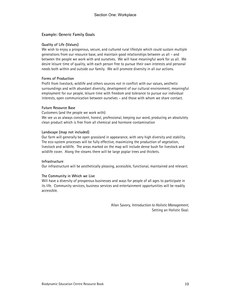#### Example: Generic Family Goals

#### Quality of Life (Values)

We wish to enjoy a prosperous, secure, and cultured rural lifestyle which could sustain multiple generations from our resource base, and maintain good relationships between us all – and between the people we work with and ourselves. We will have meaningful work for us all. We desire leisure time of quality, with each person free to pursue their own interests and personal needs both within and outside our family. We will promote diversity in all our actions.

#### Forms of Production

Profit from livestock, wildlife and others sources not in conflict with our values, aesthetic surroundings and with abundant diversity, development of our cultural environment, meaningful employment for our people, leisure time with freedom and tolerance to pursue our individual interests, open communication between ourselves – and those with whom we share contact.

#### Future Resource Base

Customers (and the people we work with):

We see us as always consistent, honest, professional, keeping our word, producing an absolutely clean product which is free from all chemical and hormone contamination

#### Landscape (map not included)

Our farm will generally be open grassland in appearance, with very high diversity and stability. The eco-system processes will be fully effective, maximizing the production of vegetation, livestock and wildlife. The areas marked on the map will include dense bush for livestock and wildlife cover. Along the steams there will be large poplar trees and thickets.

#### Infrastructure

Our infrastructure will be aesthetically pleasing, accessible, functional, maintained and relevant.

#### The Community in Which we Live

Will have a diversity of prosperous businesses and ways for people of all ages to participate in its life. Community services, business services and entertainment opportunities will be readily accessible.

> Allan Savory, Introduction to Holistic Management, Setting an Holistic Goal.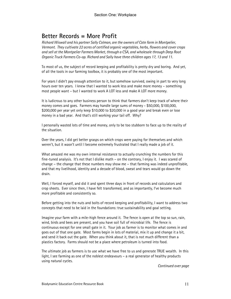# Better Records = More Profit

Richard Wiswall and his partner Sally Colman, are the owners of Cate farm in Montpelier, Vermont. They cultivate 22 acres of certified organic vegetables, herbs, flowers and cover crops and sell at the Montpelier Farmers Market, through a CSA, and wholesale through Deep Root Organic Truck Farmers Co-op. Richard and Sally have three children ages 17, 13 and 11.

To most of us, the subject of record keeping and profitability is pretty dry and boring. And yet, of all the tools in our farming toolbox, it is probably one of the most important.

For years I didn't pay enough attention to it, but somehow survived, owing in part to very long hours over ten years. I knew that I wanted to work less and make more money – something most people want – but I wanted to work A LOT less and make A LOT more money.

It is ludicrous to any other business person to think that farmers don't keep track of where their money comes and goes. Farmers may handle large sums of money - \$50,000, \$100,000, \$200,000 per year yet only keep \$10,000 to \$20,000 in a good year and break even or lose money in a bad year. And that's still working your tail off. Why?

I personally wasted lots of time and money, only to be too stubborn to face up to the reality of the situation.

Over the years, I did get better grasps on which crops were paying for themselves and which weren't, but it wasn't until I become extremely frustrated that I really made a job of it.

What amazed me was my own internal resistance to actually crunching the numbers for this fine-tuned analysis. It's not that I dislike math – on the contrary, I enjoy it. I was scared of change – the change that these numbers may show me – that farming was indeed unprofitable, and that my livelihood, identity and a decade of blood, sweat and tears would go down the drain.

Well, I forced myself, and did it and spent three days in front of records and calculators and crop sheets. Ever since then, I have felt transformed, and as importantly, I've become much more profitable and consistently so.

Before getting into the nuts and bolts of record keeping and profitability, I want to address two concepts that need to be laid in the foundations: true sustainability and goal setting.

Imagine your farm with a mile-high fence around it. The fence is open at the top so sun, rain, wind, birds and bees are present, and you have soil full of microbial life. The fence is continuous except for one small gate in it. Your job as farmer is to monitor what comes in and goes out of that one gate. Most farms begin in lots of material, mix it up and change it a bit, and send it back out the gate. When you think about it, that is not much different than a plastics factory. Farms should not be a place where petroleum is turned into food.

The ultimate job as farmers is to use what we have free to us and generate TRUE wealth. In this light, I see farming as one of the noblest endeavours – a real generator of healthy products using natural cycles.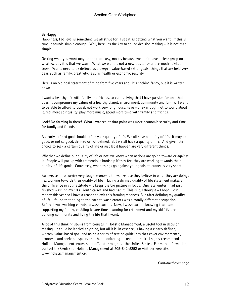#### Be Happy

Happiness, I believe, is something we all strive for. I see it as getting what you want. If this is true, it sounds simple enough. Well, here lies the key to sound decision making – it is not that simple.

Getting what you want may not be that easy, mostly because we don't have a clear grasp on what exactly it is that we want. What we want is not a new tractor or a late-model pickup truck. Wants need to be defined as a deeper, value-based set of goals: things that are held very dear, such as family, creativity, leisure, health or economic security.

Here is an old goal statement of mine from five years ago. It's nothing fancy, but it is written down.

I want a healthy life with family and friends, to earn a living that I have passion for and that doesn't compromise my values of a healthy planet, environment, community and family. I want to be able to afford to travel, not work very long hours, have money enough not to worry about it, feel more spirituality, play more music, spend more time with family and friends.

Look! No farming in there! What I wanted at that point was more economic security and time for family and friends.

A clearly defined goal should define your quality of life. We all have a quality of life. It may be good, or not so good, defined or not defined. But we all have a quality of life. And given the choice to seek a certain quality of life or just let it happen are very different things.

Whether we define our quality of life or not, we know when actions are going toward or against it. People will put up with tremendous hardship if they feel they are working towards their quality-of-life goals. Conversely, when things go against your goals, tolerance is very short.

Farmers tend to survive very tough economic times because they believe in what they are doing: i.e., working towards their quality of life. Having a defined quality of life statement makes all the difference in your attitude – it keeps the big picture in focus. One late winter I had just finished washing my 10 zillionth carrot and had had it. This is it, I thought – I hope I lose money this year so I have a reason to exit this farming madness. But after defining my quality of life, I found that going to the barn to wash carrots was a totally different occupation. Before, I was washing carrots to wash carrots. Now, I wash carrots knowing that I am supporting my family, enabling leisure time, planning for retirement and my kids' future, building community and living the life that I want.

A lot of this thinking stems from courses in Holistic Management, a useful tool in decision making. It could be labeled anything, but all it is, in essence, is having a clearly defined, written, value-based goal and using a series of testing guidelines that cover environmental, economic and societal aspects and then monitoring to keep on track. I highly recommend Holistic Management; courses are offered throughout the United States. For more information, contact the Centre for Holistic Management at 505-842-5252 or visit the web site: www.holisticmanagement.org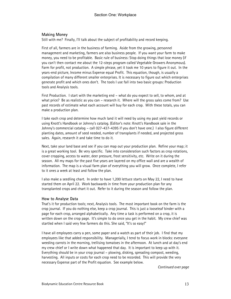#### Making Money

Still with me? Finally, I'll talk about the subject of profitability and record keeping.

First of all, farmers are in the business of farming. Aside from the growing, personnel management and marketing, farmers are also business people. If you want your farm to make money, you need to be profitable. Basic rule of business: Stop doing things that lose money (if you can't then contact me about the 12-steps program called Vegetable Growers Anonymous). Farm for profit, not production. A simple phrase, yet it took me 10 years to figure it out. In the years-end picture, Income minus Expense equal Profit. This equation, though, is usually a compilation of many different smaller enterprises. It is necessary to figure out which enterprises generate profit and which ones don't. The tools I use fall into two basic groups: Production tools and Analysis tools.

First Production. I start with the marketing end – what do you expect to sell, to whom, and at what price? Be as realistic as you can – research it. Where will the gross sales come from? Use past records of estimate what each account will buy for each crop. With these totals, you can make a production plan.

I take each crop and determine how much land it will need by using my past yield records or using Knott's Handbook or Johnny's catalog. (Editor's note: Knott's Handbook sale in the Johnny's commercial catalog – call 027-437-4395 if you don't have one.) I also figure different planting dates, amount of seed needed, number of transplants if needed, and projected gross sales. Again, research it and take time to do it.

Next, take your land base and see if you can map out your production plan. Refine your map; it is a great working tool. Be very specific. Take into consideration such factors as crop rotations, cover cropping, access to water, deer pressure, frost sensitivity, etc. Write on it during the season. All my maps for the past five years are layered on my office wall and are a wealth of information. The map is a visual farm plan of everything you will grow. Once complete, I refer to it ones a week at least and follow the plan.

I also make a seedling chart. In order to have 1,200 lettuce starts on May 22, I need to have started them on April 22. Work backwards in time from your production plan for any transplanted crops and chart it out. Refer to it during the season and follow the plan.

#### How to Analyse Data

That's it for production tools; next, Analysis tools. The most important book on the farm is the crop journal. If you do nothing else, keep a crop journal. This is just a looseleaf binder with a page for each crop, arranged alphabetically. Any time a task is performed on a crop, it is written down on the crop page. It's simple to do once you get in the habit. My crew chief was startled when I said very few farmers do this. She said, "It's so easy!"

I have all employees carry a pen, some paper and a watch as part of their job. I find that my employees like that added responsibility. Managerially, I tend to focus work in blocks: everyone weeding carrots in the morning, trellising tomatoes in the afternoon. At lunch and at day's end my crew chief or I write down what happened that day. It is important to keep up with it. Everything should be in your crop journal – plowing, disking, spreading compost, weeding, harvesting. All inputs or costs for each crop need to be recorded. This will provide the very necessary Expense part of the Profit equation. See example below.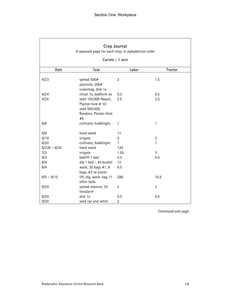| Crop Journal<br>A separate page for each crop, in alphabetical order |                                                                                            |                  |                |
|----------------------------------------------------------------------|--------------------------------------------------------------------------------------------|------------------|----------------|
|                                                                      |                                                                                            | Carrots - 1 acre |                |
| Date                                                                 | Task                                                                                       | Labor            | <b>Tractor</b> |
| 4/23                                                                 | spread 500#<br>plantrite, 200#<br>sulpomag, disk 1x                                        | $\overline{2}$   | 1.5            |
| 4/24                                                                 | chisel 1x, bedform 2x                                                                      | 0.5              | 0.5            |
| 4/25                                                                 | seed 100,000 Napoil,<br>Planter hole # 10:<br>seed 500,000,<br>Rondino, Planter Hole<br>#9 | 2.5              | 2.5            |
| 6/6                                                                  | cultivate, buddinghs                                                                       | $\mathbf{1}$     | 1              |
| 6/9                                                                  | hand weed                                                                                  | 11               |                |
| 6/10                                                                 | irrigate                                                                                   | 5                | 3              |
| 6/20                                                                 | cultivate, buddinghs                                                                       | 1                | 1              |
| $6/239 - 6/30$                                                       | hand weed                                                                                  | 120              |                |
| 7/3                                                                  | irrigate                                                                                   | 1.55             | 3              |
| 8/3                                                                  | bedlift 1 bed                                                                              | 0.5              | 0.5            |
| 8/4                                                                  | dig 1 bed - 45 bushel                                                                      | 12               |                |
| 8/4                                                                  | wash, 30 bags #1, 8<br>bags, #2 to cooler                                                  | 6.5              |                |
| $8/5 - 9/15$                                                         | lift, dig, wash, bag 11<br>other beds                                                      | 286              | 10.5           |
| 9/20                                                                 | spread manure, 20<br>tons/acre                                                             | 3                | 3              |
| 9/20                                                                 | disk 1x                                                                                    | 0.5              | 0.5            |
| 9/20                                                                 | seed rye and vetch                                                                         | $\overline{2}$   |                |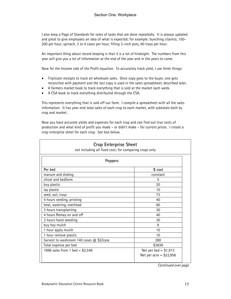I also keep a Page of Standards for rates of tasks that are done repeatedly. It is always updated and great to give employees an idea of what is expected; for example: bunching cilantro, 150– 200 per hour; spinach, 3 to 4 cases per hour; filling 3–inch pots, 60 trays per hour.

An important thing about record keeping is that it is a lot of hindsight. The numbers from this year will give you a lot of information at the end of the year and in the years to come.

Now for the Income side of the Profit equation. To accurately track yield, I use three things:

- Triplicate receipts to track all wholesale sales. Once copy goes to the buyer, one gets reconciled with payment and the last copy is used in the sales spreadsheet, described later.
- A farmers market book to track everything that is sold at the market each week.
- A CSA book to track everything distributed through the CSA.

This represents everything that is sold off our farm. I compile a spreadsheet with all the sales information. It has year-end total sales of each crop to each market, with subtotals both by crop and market.

Now you have accurate yields and expenses for each crop and can find out true costs of production and what kind of profit you made – or didn't make – for current prices. I create a crop enterprise sheet for each crop. See box below.

| <b>Crop Enterprise Sheet</b><br>not including all fixed cost; for comparing crops only |                          |  |
|----------------------------------------------------------------------------------------|--------------------------|--|
| <b>Peppers</b>                                                                         |                          |  |
| Per bed                                                                                | \$ cost                  |  |
| manure and disking                                                                     | constant                 |  |
| chisel and bedform                                                                     | 5                        |  |
| buy plastic                                                                            | 20                       |  |
| lay plastic                                                                            | 10                       |  |
| seed, soil, trays                                                                      | 73                       |  |
| 4 hours seeding, pricking                                                              | 40                       |  |
| heat, watering, overhead                                                               | 80                       |  |
| 3 hours transplanting                                                                  | 30                       |  |
| 4 hours Remay on and off                                                               | 40                       |  |
| 3 hours hand weeding                                                                   | 30                       |  |
| buy hay mulch                                                                          | 8                        |  |
| 1 hour apply mulch                                                                     | 10                       |  |
| 1 hour remove plastic                                                                  | 10                       |  |
| harvest to washroom 140 cases @ \$2/case                                               | 280                      |  |
| Total expense per bed                                                                  | \$3636                   |  |
| 1996 sales from 1 bed = $$2,549$                                                       | Net per bed = $$1,913$   |  |
|                                                                                        | Net per acre = $$22,956$ |  |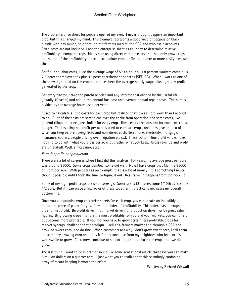The crop enterprise sheet for peppers opened my eyes. I never thought peppers an important crop, but this changed my mind. This example represents a good yield of peppers on black plastic with hay mulch, sold through the farmers market, the CSA and wholesale accounts. Fixed costs are not included; I use the enterprise sheet as an index to determine relative profitability. I compare crops side by side using direct variable costs and then only grow crops on the top of the profitability index. I extrapolate crop profits to an acre to more easily measure them.

For figuring labor costs, I use the average wage of \$7 an hour plus 8 percent workers comp plus 7.5 percent employee tax plus 15 percent retirement benefits (SEF IRA). When I work as one of the crew, I get paid on the crop enterprise sheet the average hourly wage, plus I get any profit generated by the crop.

For every tractor, I take the purchase price and any interest cost divided by the useful life (usually 10 years) and add in the annual fuel cost and average annual repair costs. This sum is divided by the average hours used per year.

I used to calculate all the costs for each crop but realized that it was more work than I needed to do. A lot of the costs are spread out over the entire farm operation and some costs, like general tillage practices, are similar for every crop. These costs are constant for each enterprise budget. The resulting net profit per acre is used to compare crops, and does give an idea of what you keep before paying fixed and non-direct costs (telephone, electricity, mortgage, insurance, coolers, people driving over irrigation pipe…). These bottom-line profit values have nothing to do with what you gross per acre, but rather what you keep. Gross revenue and profit are unrelated! Well, almost unrelated.

#### Farm for profit, not production.

There were a lot of surprises when I first did this analysis. For years, my average gross per acre was around \$5000. Some crops bombed, some did well. Now I have crops that NET me \$5000 or more per acre. With peppers as an example, that is a lot of money! It is something I never thought possible until I took the time to figure it out. Real farming happens from the neck up.

Some of my high-profit crops are small acreage. Some are 1/12th acre, some 1/10th acre, some 1/2 acre. But if I can piece a few acres of these together, it drastically increases my overall bottom line.

Once you compromise crop enterprise sheets for each crop, you can create an incredibly important piece of paper for your farm – an index of profitability. This index lists all crops in order of net profit. Be profit driven, not market driven, or production driven, or by gross sales figures. By growing crops that are the most profitable for you and your markets, you can't help but become more profitable. If you feel you have to grow certain less profitable crops for market synergy, challenge that paradigm. I sell at a farmers market and through a CSA and grow no sweet corn, and do fine. When customers ask why I don't grow sweet corn, I tell them I lose money growing corn and I buy it for personal use from my neighbors who feel corn is worthwhile to grow. Customers continue to support us, and purchase the crops that we do grow.

The last thing I want to do is brag or sound like some sensational article that says you can make 5 million dollars on a quarter acre. I just want you to realize that this seemingly confusing array of record keeping is worth the effort.

Written by Richard Wiswall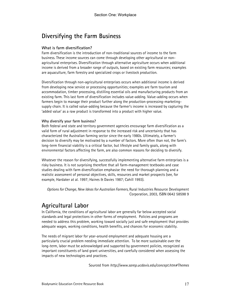# Diversifying the Farm Business

#### What is farm diversification?

Farm diversification is the introduction of non-traditional sources of income to the farm business. These income sources can come through developing other agricultural or nonagricultural enterprises. Diversification through alternative agriculture occurs when additional income is derived from a broader range of outputs, based on existing farm resources; examples are aquaculture, farm forestry and specialized crops or livestock production.

Diversification through non-agricultural enterprises occurs when additional income is derived from developing new service or processing opportunities; examples are farm tourism and accommodation, timber processing, distilling essential oils and manufacturing products from an existing farm. This last form of diversification includes value-adding. Value-adding occurs when farmers begin to manage their product further along the production-processing-marketingsupply chain. It is called value-adding because the farmer's income is increased by capturing the 'added value' as a raw product is transformed into a product with higher value.

#### Why diversify your farm business?

Both federal and state and territory government agencies encourage farm diversification as a valid form of rural adjustment in response to the increased risk and uncertainty that has characterized the Australian farming sector since the early 1980s. Ultimately, a farmer's decision to diversify may be motivated by a number of factors. More often than not, the farm's long-term financial viability is a critical factor, but lifestyle and family goals, along with environmental factors affecting the farm, are also common reasons for deciding to diversify.

Whatever the reason for diversifying, successfully implementing alternative farm enterprises is a risky business. It is not surprising therefore that all farm-management textbooks and case studies dealing with farm diversification emphasise the need for thorough planning and a realistic assessment of personal objectives, skills, resources and market prospects (see, for example, Hardaker at al. 1997; Haines & Davies 1987; Cahill 1993).

Options for Change, New Ideas for Australian Farmers, Rural Industries Resource Development Corporation, 2003, ISBN 0642 58598 9

# Agricultural Labor

In California, the conditions of agricultural labor are generally far below accepted social standards and legal protections in other forms of employment. Policies and programs are needed to address this problem, working toward socially just and safe employment that provides adequate wages, working conditions, health benefits, and chances for economic stability.

The needs of migrant labor for year-around employment and adequate housing are a particularly crucial problem needing immediate attention. To be more sustainable over the long-term, labor must be acknowledged and supported by government policies, recognized as important constituents of land grant universities, and carefully considered when assessing the impacts of new technologies and practices.

Sourced from http://www.sarep.ucdavis.edu/concept.htm#Themes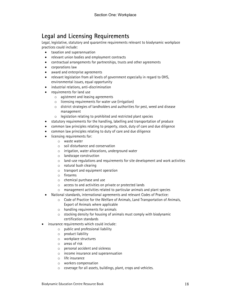# Legal and Licensing Requirements

Legal, legislative, statutory and quarantine requirements relevant to biodynamic workplace practices could include:

- taxation and superannuation
- relevant union bodies and employment contracts
- contractual arrangements for partnerships, trusts and other agreements
- corporations law
- award and enterprise agreements
- relevant legislation from all levels of government especially in regard to OHS, environmental issues, equal opportunity
- industrial relations, anti-discrimination
- requirements for land use
	- o agistment and leasing agreements
	- o licensing requirements for water use (irrigation)
	- o district strategies of landholders and authorities for pest, weed and disease management
	- o legislation relating to prohibited and restricted plant species
- statutory requirements for the handling, labelling and transportation of produce
- common law principles relating to property, stock, duty of care and due diligence
- common law principles relating to duty of care and due diligence
- licensing requirements for:
	- o waste water
	- o soil disturbance and conservation
	- o irrigation, water allocations, underground water
	- o landscape construction
	- o land-use regulations and requirements for site development and work activities
	- o natural bush clearing
	- o transport and equipment operation
	- o firearms
	- o chemical purchase and use
	- o access to and activities on private or protected lands
	- o management activities related to particular animals and plant species
- National standards, international agreements and relevant Codes of Practice:
	- o Code of Practice for the Welfare of Animals, Land Transportation of Animals, Export of Animals where applicable
	- o handling requirements for animals
	- $\circ$  stocking density for housing of animals must comply with biodynamic certification standards
- insurance requirements which could include:
	- $\circ$  public and professional liability
	- o product liability
	- o workplace structures
	- o areas of risk
	- o personal accident and sickness
	- o income insurance and superannuation
	- o life insurance
	- o workers compensation
	- o coverage for all assets, buildings, plant, crops and vehicles.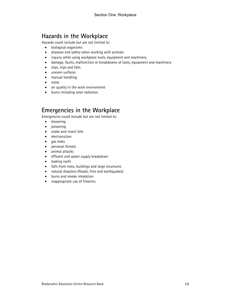# Hazards in the Workplace

Hazards could include but are not limited to:

- biological organisms
- diseases and safety when working with animals
- inquiry while using workplace tools, equipment and machinery
- damage, faults, malfunction or breakdowns of tools, equipment and machinery
- slips, trips and falls
- uneven surfaces
- manual handling
- noise
- air quality in the work environment
- burns including solar radiation.

# Emergencies in the Workplace

Emergencies could include but are not limited to:

- drowning
- poisoning
- snake and insect bite
- electrocution
- gas leaks
- personal threats
- animal attacks
- effluent and water supply breakdown
- leaking roofs
- falls from trees, buildings and large structures
- natural disasters (floods, fires and earthquakes)
- burns and smoke inhalation
- inappropriate use of firearms.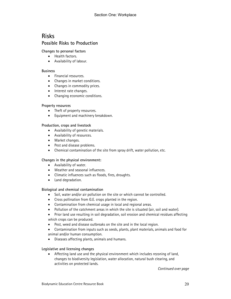### Risks Possible Risks to Production

#### Changes to personal factors

- Health factors.
- Availability of labour.

#### **Business**

- Financial resources.
- Changes in market conditions.
- Changes in commodity prices.
- Interest rate changes.
- Changing economic conditions.

#### Property resources

- Theft of property resources.
- Equipment and machinery breakdown.

#### Production, crops and livestock

- Availability of genetic materials.
- Availability of resources.
- Market changes.
- Pest and disease problems.
- Chemical contamination of the site from spray drift, water pollution, etc.

#### Changes in the physical environment:

- Availability of water.
- Weather and seasonal influences.
- Climatic influences such as floods, fires, droughts.
- Land degradation.

#### Biological and chemical contamination

- Soil, water and/or air pollution on the site or which cannot be controlled.
- Cross pollination from G.E. crops planted in the region.
- Contamination from chemical usage in local and regional areas.
- Pollution of the catchment areas in which the site is situated (air, soil and water).
- Prior land use resulting in soil degradation, soil erosion and chemical residues affecting which crops can be produced.
- Pest, weed and disease outbreaks on the site and in the local region.
- Contamination from inputs such as seeds, plants, plant materials, animals and food for animal and/or human consumption.
- Diseases affecting plants, animals and humans.

#### Legislative and licensing changes

• Affecting land use and the physical environment which includes rezoning of land, changes to biodiversity legislation, water allocation, natural bush clearing, and activities on protected lands.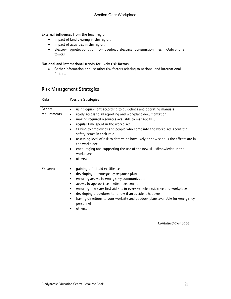#### External influences from the local region

- Impact of land clearing in the region.
- Impact of activities in the region.
- Electro-magnetic pollution from overhead electrical transmission lines, mobile phone towers.

#### National and international trends for likely risk factors

• Gather information and list other risk factors relating to national and international factors.

### Risk Management Strategies

| <b>Risks</b>            | Possible Strategies                                                                                                                                                                                                                                                                                                                                                                                                                                                                                                                                             |
|-------------------------|-----------------------------------------------------------------------------------------------------------------------------------------------------------------------------------------------------------------------------------------------------------------------------------------------------------------------------------------------------------------------------------------------------------------------------------------------------------------------------------------------------------------------------------------------------------------|
| General<br>requirements | using equipment according to quidelines and operating manuals<br>$\bullet$<br>ready access to all reporting and workplace documentation<br>making required resources available to manage OHS<br>$\bullet$<br>regular time spent in the workplace<br>talking to employees and people who come into the workplace about the<br>safety issues in their role<br>assessing level of risk to determine how likely or how serious the effects are in<br>the workplace<br>encouraging and supporting the use of the new skills/knowledge in the<br>workplace<br>others: |
| Personnel               | gaining a first aid certificate<br>$\bullet$<br>developing an emergency response plan<br>$\bullet$<br>ensuring access to emergency communication<br>access to appropriate medical treatment<br>ensuring there are first aid kits in every vehicle, residence and workplace<br>developing procedures to follow if an accident happens<br>having directions to your worksite and paddock plans available for emergency<br>personnel<br>others:                                                                                                                    |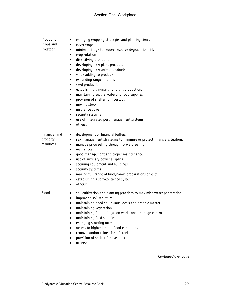| Production;   | changing cropping strategies and planting times<br>$\bullet$                        |
|---------------|-------------------------------------------------------------------------------------|
| Crops and     | cover crops<br>$\bullet$                                                            |
| livestock     | minimal tillage to reduce resource degradation risk<br>$\bullet$                    |
|               | crop rotation<br>$\bullet$                                                          |
|               | diversifying production:<br>$\bullet$                                               |
|               | developing new plant products<br>$\bullet$                                          |
|               | developing new animal products<br>$\bullet$                                         |
|               | value adding to produce<br>$\bullet$                                                |
|               | expanding range of crops                                                            |
|               | seed production                                                                     |
|               | establishing a nursery for plant production.<br>$\bullet$                           |
|               | maintaining secure water and food supplies<br>$\bullet$                             |
|               | provision of shelter for livestock<br>$\bullet$                                     |
|               | moving stock<br>$\bullet$                                                           |
|               | insurance cover                                                                     |
|               | security systems<br>$\bullet$                                                       |
|               | use of integrated pest management systems<br>$\bullet$                              |
|               | others:<br>$\bullet$                                                                |
|               |                                                                                     |
| Financial and | development of financial buffers<br>$\bullet$                                       |
| property      | risk management strategies to minimise or protect financial situation;<br>$\bullet$ |
| resources     | manage price selling through forward selling<br>$\bullet$                           |
|               | insurances<br>$\bullet$                                                             |
|               | good management and proper maintenance                                              |
|               | use of auxiliary power supplies<br>$\bullet$                                        |
|               | securing equipment and buildings<br>$\bullet$                                       |
|               | security systems<br>$\bullet$                                                       |
|               | making full range of biodynamic preparations on-site<br>$\bullet$                   |
|               | establishing a self-contained system<br>$\bullet$                                   |
|               | others:<br>$\bullet$                                                                |
| Floods        | soil cultivation and planting practices to maximise water penetration<br>$\bullet$  |
|               | improving soil structure<br>$\bullet$                                               |
|               | maintaining good soil humus levels and organic matter<br>$\bullet$                  |
|               | maintaining vegetation<br>$\bullet$                                                 |
|               | maintaining flood mitigation works and drainage controls                            |
|               | maintaining feed supplies<br>$\bullet$                                              |
|               | changing stocking rates<br>٠                                                        |
|               | access to higher land in flood conditions<br>$\bullet$                              |
|               | removal and/or relocation of stock<br>$\bullet$                                     |
|               | provision of shelter for livestock<br>٠                                             |
|               | others:                                                                             |
|               |                                                                                     |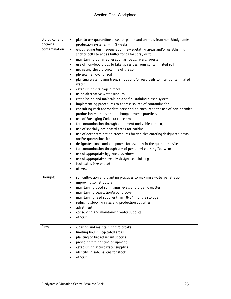| Biological and | plan to use quarantine areas for plants and animals from non-biodynamic<br>$\bullet$                                                          |
|----------------|-----------------------------------------------------------------------------------------------------------------------------------------------|
| chemical       | production systems (min. 3 weeks)                                                                                                             |
| contamination  | encouraging bush regeneration, re-vegetating areas and/or establishing<br>$\bullet$                                                           |
|                | shelter belts to act as buffer zones for spray drift                                                                                          |
|                | maintaining buffer zones such as roads, rivers, forests<br>$\bullet$                                                                          |
|                | use of non-food crops to take up resides from contaminated soil<br>$\bullet$                                                                  |
|                | increasing the biological life of the soil<br>$\bullet$                                                                                       |
|                | physical removal of soil<br>$\bullet$                                                                                                         |
|                | planting water loving trees, shrubs and/or reed beds to filter contaminated<br>$\bullet$<br>water                                             |
|                | establishing drainage ditches<br>$\bullet$                                                                                                    |
|                | using alternative water supplies<br>$\bullet$                                                                                                 |
|                | establishing and maintaining a self-sustaining closed system<br>$\bullet$                                                                     |
|                | implementing procedures to address source of contamination<br>$\bullet$                                                                       |
|                | consulting with appropriate personnel to encourage the use of non-chemical<br>$\bullet$<br>production methods and to change adverse practices |
|                | use of Packaging Codes to trace products<br>$\bullet$                                                                                         |
|                | for contamination through equipment and vehicular usage;<br>$\bullet$                                                                         |
|                | use of specially designated areas for parking<br>$\bullet$                                                                                    |
|                | use of decontamination procedures for vehicles entering designated areas<br>$\bullet$                                                         |
|                | and/or quarantine site                                                                                                                        |
|                | designated tools and equipment for use only in the quarantine site<br>$\bullet$                                                               |
|                | for contamination through use of personnel clothing/footwear<br>$\bullet$                                                                     |
|                | use of appropriate hygiene procedures<br>$\bullet$                                                                                            |
|                | use of appropriate specially designated clothing<br>$\bullet$                                                                                 |
|                | foot baths (see photo)<br>$\bullet$                                                                                                           |
|                | others:<br>$\bullet$                                                                                                                          |
| Droughts       | soil cultivation and planting practices to maximise water penetration<br>$\bullet$                                                            |
|                | improving soil structure<br>$\bullet$                                                                                                         |
|                | maintaining good soil humus levels and organic matter<br>$\bullet$                                                                            |
|                | maintaining vegetation/ground cover<br>٠                                                                                                      |
|                | maintaining feed supplies (min 18-24 months storage)<br>٠                                                                                     |
|                | reducing stocking rates and production activities<br>$\bullet$                                                                                |
|                | adjistment<br>$\bullet$                                                                                                                       |
|                | conserving and maintaining water supplies<br>$\bullet$                                                                                        |
|                | others:<br>$\bullet$                                                                                                                          |
| Fires          | clearing and maintaining fire breaks<br>$\bullet$                                                                                             |
|                | limiting fuel in vegetated areas<br>$\bullet$                                                                                                 |
|                | planting of fire retardant species<br>$\bullet$                                                                                               |
|                | providing fire fighting equipment<br>٠                                                                                                        |
|                | establishing secure water supplies<br>$\bullet$                                                                                               |
|                | identifying safe havens for stock<br>$\bullet$                                                                                                |
|                | others:<br>٠                                                                                                                                  |
|                |                                                                                                                                               |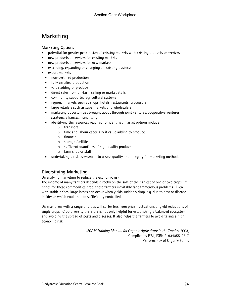# Marketing

### Marketing Options

- potential for greater penetration of existing markets with existing products or services
- new products or services for existing markets
- new products or services for new markets
- extending, expanding or changing an existing business
- export markets
	- non-certified production
	- fully certified production
	- value adding of produce
	- direct sales from on-farm selling or market stalls
	- community supported agricultural systems
	- regional markets such as shops, hotels, restaurants, processors
	- large retailers such as supermarkets and wholesalers
	- marketing opportunities brought about through joint ventures, cooperative ventures, strategic alliances, franchising
	- identifying the resources required for identified market options include:
		- o transport
		- o time and labour especially if value adding to produce
		- o financial
		- o storage facilities
		- o sufficient quantities of high quality produce
		- o farm shop or stall
- undertaking a risk assessment to assess quality and integrity for marketing method.

### Diversifying Marketing

Diversifying marketing to reduce the economic risk

The income of many farmers depends directly on the sale of the harvest of one or two crops. If prices for these commodities drop, these farmers inevitably face tremendous problems. Even with stable prices, large losses can occur when yields suddenly drop, e.g. due to pest or disease incidence which could not be sufficiently controlled.

Diverse farms with a range of crops will suffer less from price fluctuations or yield reductions of single crops. Crop diversity therefore is not only helpful for establishing a balanced ecosystem and avoiding the spread of pests and diseases. It also helps the farmers to avoid taking a high economic risk.

> IFOAM Training Manual for Organic Agriculture in the Tropics, 2003, Complied by FiBL, ISBN 3-934055-25-7 Performance of Organic Farms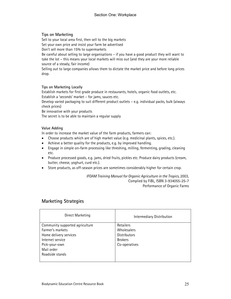#### Tips on Marketing

Sell to your local area first, then sell to the big markets Set your own price and insist your farm be advertised

Don't sell more than 15% to supermarkets

Be careful about selling to large organisations – if you have a good product they will want to take the lot – this means your local markets will miss out (and they are your more reliable source of a steady, fair income)

Selling out to large companies allows them to dictate the market price and before long prices drop.

#### Tips on Marketing Locally

Establish markets for first grade produce in restaurants, hotels, organic food outlets, etc. Establish a 'seconds' market – for jams, sauces etc.

Develop varied packaging to suit different product outlets – e.g. individual packs, bulk (always check prices)

Be innovative with your products

The secret is to be able to maintain a regular supply

#### Value Adding

In order to increase the market value of the farm products, farmers can:

- Choose products which are of high market value (e.g. medicinal plants, spices, etc.).
- Achieve a better quality for the products, e.g. by improved handling.
- Engage in simple on-farm processing like threshing, milling, fermenting, grading, cleaning etc.
- Produce processed goods, e.g. jams, dried fruits, pickles etc. Produce dairy products (cream, butter, cheese, yoghurt, curd etc.).
- Store products, as off-season prices are sometimes considerably higher for certain crop.

IFOAM Training Manual for Organic Agriculture in the Tropics, 2003, Complied by FiBL, ISBN 3-934055-25-7 Performance of Organic Farms

### Marketing Strategies

| Direct Marketing                | Intermediary Distribution |
|---------------------------------|---------------------------|
| Community supported agriculture | Retailers                 |
| Farmer's markets                | Wholesalers               |
| Home delivery services          | <b>Distributors</b>       |
| Internet service                | <b>Brokers</b>            |
| Pick-your-own                   | Co-operatives             |
| Mail order                      |                           |
| Roadside stands                 |                           |
|                                 |                           |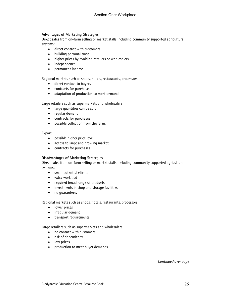#### Advantages of Marketing Strategies

Direct sales from on-farm selling or market stalls including community supported agricultural systems:

- direct contact with customers
- building personal trust
- higher prices by avoiding retailers or wholesalers
- independence
- permanent income.

Regional markets such as shops, hotels, restaurants, processors:

- direct contact to buyers
- contracts for purchases
- adaptation of production to meet demand.

Large retailers such as supermarkets and wholesalers:

- large quantities can be sold
- regular demand
- contracts for purchases
- possible collection from the farm.

#### Export:

- possible higher price level
- access to large and growing market
- contracts for purchases.

#### Disadvantages of Marketing Strategies

Direct sales from on-farm selling or market stalls including community supported agricultural systems:

- small potential clients
- extra workload
- required broad range of products
- investments in shop and storage facilities
- no guarantees.

Regional markets such as shops, hotels, restaurants, processors:

- lower prices
- irregular demand
- transport requirements.

Large retailers such as supermarkets and wholesalers:

- no contact with customers
- risk of dependency
- low prices
- production to meet buyer demands.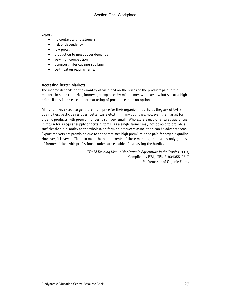#### Export:

- no contact with customers
- risk of dependency
- low prices
- production to meet buyer demands
- very high competition
- transport miles causing spoilage
- certification requirements.

#### Accessing Better Markets

The income depends on the quantity of yield and on the prices of the products paid in the market. In some countries, farmers get exploited by middle men who pay low but sell at a high price. If this is the case, direct marketing of products can be an option.

Many farmers expect to get a premium price for their organic products, as they are of better quality (less pesticide residues, better taste etc.). In many countries, however, the market for organic products with premium prices is still very small. Wholesalers may offer sales guarantee in return for a regular supply of certain items. As a single farmer may not be able to provide a sufficiently big quantity to the wholesaler, forming producers association can be advantageous. Export markets are promising due to the sometimes high premium price paid for organic quality. However, it is very difficult to meet the requirements of these markets, and usually only groups of farmers linked with professional traders are capable of surpassing the hurdles.

> IFOAM Training Manual for Organic Agriculture in the Tropics, 2003, Complied by FiBL, ISBN 3-934055-25-7 Performance of Organic Farms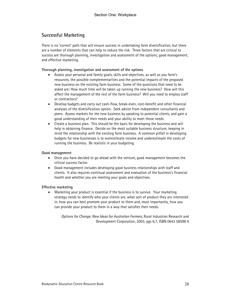### Successful Marketing

There is no 'correct' path that will ensure success in undertaking farm diversification, but there are a number of elements that can help to reduce the risk. Three factors that are critical to success are thorough planning, investigation and assessment of the options; good management; and effective marketing.

#### Thorough planning, investigation and assessment of the options

- Assess your personal and family goals, skills and objectives, as well as you farm's resources, the possible complementarities and the potential impacts of the proposed new business on the existing farm business. Some of the questions that need to be asked are: How much time will be taken up running the new business? How will this affect the management of the rest of the farm business? Will you need to employ staff or contractors?
- Develop budgets and carry out cash-flow, break-even, cost-benefit and other financial analyses of the diversification option. Seek advice from independent consultants and peers. Assess markets for the new business by speaking to potential clients, and gain a good understanding of their needs and your ability to meet those needs.
- Create a business plan. This should be the basis for developing the business and will help in obtaining finance. Decide on the most suitable business structure, keeping in mind the relationship with the existing farm business. A common pitfall in developing budgets for new businesses is to overestimate income and underestimate the costs of running the business. Be realistic in your budgeting.

#### Good management

- Once you have decided to go ahead with the venture, good management becomes the critical success factor.
- Good management includes developing good business relationships with staff and clients. It also requires continual assessment and evaluation of the business's financial health and whether you are meeting your goals and objectives.

#### Effective marketing

• Marketing your product is essential if the business is to survive. Your marketing strategy needs to identify who your clients are, what sort of product they are interested in, how you can best promote your product to them and, most importantly, how you can provide your product to them in a way that satisfies their needs.

Options for Change, New Ideas for Australian Farmers, Rural Industries Research and Development Corporation, 2003, pgs 6,7, ISBN 0642 58598 9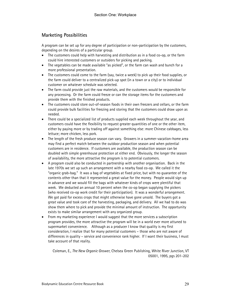### Marketing Possibilities

A program can be set up for any degree of participation or non-participation by the customers, depending on the desires of a particular group.

- The customers could help with harvesting and distribution as in a food co-op, or the farm could hire interested customers or outsiders for picking and packing.
- The vegetables can be made available "as picked", or the farm can wash and bunch for a more professional presentation.
- The customers could come to the farm (say, twice a week) to pick up their food supplies, or the farm could deliver to a centralized pick-up spot (in a town or a city) or to individual customer on whatever schedule was selected.
- The farm could provide just the raw materials, and the customers would be responsible for any processing. Or the farm could freeze or can the storage items for the customers and provide them with the finished products.
- The customers could store out-of-season foods in their own freezers and cellars, or the farm could provide bulk facilities for freezing and storing that the customers could draw upon as needed.
- There could be a specialized list of products supplied each week throughout the year, and customers could have the flexibility to request greater quantities of one or the other item, either by paying more or by trading off against something else: more Chinese cabbages, less lettuce; more chicken, less pork.
- The length of the fresh produce season can vary. Growers in a summer-vacation-home area may find a perfect match between the outdoor production season and when potential customers are in residence. If customers are available, the production season can be doubled with simple greenhouse protection at either end. Obviously, the longer the season of availability, the more attractive the program is to potential customers.
- A program could also be conducted in partnership with another organisation. Back in the late 1970s we set up such an arrangement with a nearby food co-op. We called it the "organic grab-bag." It was a bag of vegetables at fixed price, but with no guarantee of the contents other than that it represented a great value for the money. People would sign up in advance and we would fill the bags with whatever kinds of crops were plentiful that week. We deducted an annual 10 percent when the co-op began supplying the pickers (who received co-op work credit for their participation). It was a wonderful arrangement. We got paid for excess crops that might otherwise have gone unsold. The buyers got a great value and took care of the harvesting, packaging, and delivery. All we had to do was show them where to pick and provide the minimal amount of instruction. The opportunity exists to make similar arrangement with any organized group.
- From my marketing experience I would suggest that the more services a subscription program provides, the more attractive the program will be in a world ever more attuned to supermarket convenience. Although as a producer I know that quality is my first consideration, I realize that for many potential customers – those who are not aware of differences in quality – service and convenience rank higher. If I want their business, I must take account of that reality.

Coleman, E., The New Organic Grower, Chelsea Green Publishing, White River Junction, VT 05001, 1995, pgs 201-202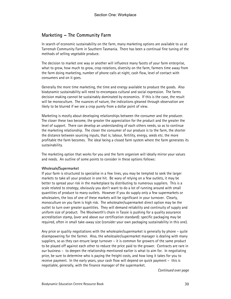### Marketing – The Community Farm

In search of economic sustainability on the farm, many marketing options are available to us at Tarremah Community Farm in Southern Tasmania. There has been a continual fine tuning of the methods of selling vegetable produce.

The decision to market one way or another will influence many facets of your farm enterprise, what to grow, how much to grow, crop rotations, diversity on the farm, farmers time away from the farm doing marketing, number of phone calls at night, cash flow, level of contact with consumers and on it goes.

Generally the more time marketing, the time and energy available to produce the goods. Also biodynamic sustainability will need to encompass cultural and social expression. The farms decision making cannot be sustainably dominated by economics. If this is the case, the result will be monoculture. The nuances of nature, the indications gleaned through observation are likely to be blurred if we see a crop purely from a dollar point of view.

Marketing is mostly about developing relationships between the consumer and the producer. The closer these two become, the greater the appreciation for the product and the greater the level of support. There can develop an understanding of each others needs, so as to continue the marketing relationship. The closer the consumer of our produce is to the farm, the shorter the distance between sourcing inputs, that is; labour, fertility, energy, seeds etc. the more profitable the farm becomes. The ideal being a closed farm system where the farm generates its sustainability.

The marketing option that works for you and the farm organism will ideally mirror your values and needs. An outline of some points to consider in these options follows:

#### Wholesale/Supermarket

If your farm is structured to specialise in a few lines, you may be tempted to seek the larger markets to take all your produce in one hit. Be wary of relying on a few outlets, it may be better to spread your risk in the marketplace by distributing to numerous suppliers. This is a scale related to strategy, obviously you don't want to do a lot of running around with small quantities of produce to many outlets. However if you do supply only a few supermarkets or wholesalers, the loss of one of these markets will be significant in your turnover. Clearly, monoculture on you farm is high risk. The wholesaler/supermarket direct option may be the outlet to turn over greater quantities. They will demand reliability and continuity of supply and uniform size of product. The Woolworth's chain in Tassie is pushing for a quality assurance accreditation stamp, (over and above our certification standard): specific packaging may be required, often in small take-away size (consider your own packaging sustainability in this one).

Any price or quality negotiations with the wholesaler/supermarket is generally by phone – quite disempowering for the farmer. Also, the wholesaler/supermarket manager is dealing with many suppliers, so as they can ensure large turnover – it is common for growers of the same product to be played off against each other to reduce the price paid to the grower. Contracts are rare in our business – to deepen the relationship mentioned earlier is what to aim for. In negotiating price, be sure to determine who is paying the freight costs, and how long it takes for you to receive payment. In the early years, your cash flow will depend on quick payment – this is negotiable, generally, with the finance manager of the supermarket.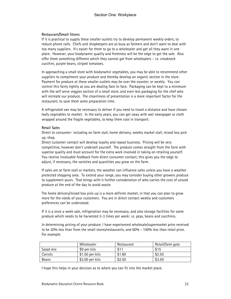#### Restaurant/Small Stores

If it is practical to supply these smaller outlets try to develop permanent weekly orders, to reduce phone calls. Chefs and shopkeepers are as busy as farmers and don't want to deal with too many suppliers. It's easier for them to go to a wholesaler and get all they want in one place. However, your biodynamic quality and freshness will be the edge to get the sale. Also offer them something different which they cannot get from wholesalers - i.e. crookneck zucchini, purple beans, striped tomatoes.

In approaching a small store with biodynamic vegetables, you may be able to recommend other suppliers to compliment your produce and thereby develop an organic section in the store. Payment for produce at these smaller outlets may be over the counter, or weekly. You can control this fairly tightly as you are dealing face to face. Packaging can be kept to a minimum with the self serve veggies section of a small store, and even less packaging for the chef who will recreate our produce. The cleanliness of presentation is a more important factor for the restaurant, to save them some preparation time.

A refrigerated van may be necessary to deliver if you need to travel a distance and have chosen leafy vegetables to market. In the early years, you can get sway with wet newspaper or cloth wrapped around the fragile vegetables, to keep them cool in transport.

#### Retail Sales

Direct to consumer- including on farm stall, home delivery, weekly market stall, mixed box pick up, shop.

Direct customer contact will develop loyalty and repeat business. Pricing will be very competitive, however don't undersell yourself. The produce comes straight from the farm with superior quality and must account for the extra work involved in taking on retailing yourself. You receive invaluable feedback from direct consumer contact; this gives you the edge to adjust, if necessary, the varieties and quantities you grow on the farm.

If sales are at farm stall or markets, the weather can influence sales unless you have a weather protected shopping area. To extend your range, you may consider buying other growers produce to supplement yours. That brings with it further consideration of who carries the cost of unsold produce at the end of the day to avoid waste.

The home delivery/mixed box pick-up is a more definite market, in that you can plan to grow more for the needs of your customers. You are in direct contact weekly and customers preferences can be understood.

If it is a once a week sale, refrigeration may be necessary, and also storage facilities for some produce which needs to be harvested 2-3 times per week: i.e. peas, beans and zucchinis.

In determining pricing of your produce, I have experienced wholesale/supermarket price received to be 20% less than from the small stores/restaurants, and 60% - 100% less than retail price. For example:

|           | Wholesaler      | Restaurant | Retail/farm gate |
|-----------|-----------------|------------|------------------|
| Salad mix | \$9 per kilo    | \$11       | \$15             |
| Carrots   | \$1.50 per kilo | \$1.80     | \$2.50           |
| Beans     | \$2.00 per kilo | \$2.50     | \$3.50           |

I hope this helps in your decision as to where you can fit into the market place.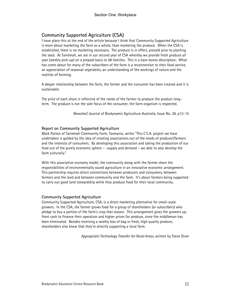### Community Supported Agriculture (CSA)

I have place this at the end of the article because I think that Community Supported Agriculture is more about marketing the farm as a whole, than marketing the produce. When the CSA is established, there is no marketing necessary. The produce is in effect, presold prior to planting the seed. At Tarremah, we are in our second year of CSA whereby we provide fresh produce all year (weekly pick-up) on a prepaid basis to 48 families. This is a bare-bones description: What has come about for many of the subscribers of the farm is a reconnection to their food service, an appreciation of seasonal vegetables, an understanding of the workings of nature and the realities of farming.

A deeper relationship between the farm, the farmer and the consumer has been created and it is sustainable.

The price of each share is reflective of the needs of the farmer to produce the product longterm. The produce is not the sole focus of the consumer, the farm organism is respected.

Newsleaf, Journal of Biodynamic Agriculture Australia, Issue No. 38, p12-15

#### Report on Community Supported Agriculture

Mark Patton of Tarremah Community Farm, Tasmania, writes "This C.S.A. project we have undertaken is guided by the idea of creating associations out of the needs of producer/farmers and the interests of consumers. By developing this association and taking the production of our food out of the purely economic sphere – -supply and demand – we able to also develop the farm culturally."

With this associative economy model, the community along with the farmer share the responsibilities of environmentally sound agriculture in an innovative economic arrangement. This partnership requires direct connections between producers and consumers, between farmers and the land and between community and the farm. It's about farmers being supported to carry out good land stewardship while they produce food for their local community.

#### Community Supported Agriculture

Community Supported Agriculture, CSA, is a direct marketing alternative for small-scale growers. In the CSA, the farmer grows food for a group of shareholders (or subscribers) who pledge to buy a portion of the farm's crop that season. This arrangement gives the growers upfront cash to finance their operation and higher prices for produce, since the middleman has been eliminated. Besides receiving a weekly box of bag or fresh, high quality produce, shareholders also know that they're directly supporting a local farm.

Appropriate Technology Transfer for Rural Areas, written by Steve Diver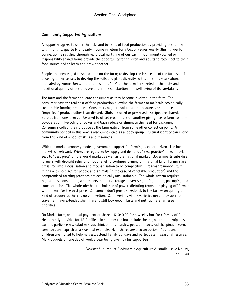#### Community Supported Agriculture

A supporter agrees to share the risks and benefits of food production by providing the farmer with monthly, quarterly or yearly income in return for a box of vegies weekly (this hunger for connection is satisfied through reciprocal nurturing of our Earth). Community owned or responsibility shared farms provide the opportunity for children and adults to reconnect to their food source and to learn and grow together.

People are encouraged to spend time on the farm; to develop the landscape of the farm so it is pleasing to the senses, to develop the soils and plant diversity so that life forces are abundant – indicated by worms, bees, and bird life. This "life" of the farm is reflected in the taste and nutritional quality of the produce and in the satisfaction and well-being of its caretakers.

The farm and the farmer educate consumers as they become involved in the farm. The consumer pays the real cost of food production allowing the farmer to maintain ecologically sustainable farming practices. Consumers begin to value natural resources and to accept an "imperfect" product rather than discard. Gluts are dried or preserved. Recipes are shared. Surplus from one farm can be used to offset crop failure on another giving rise to farm-to-farm co-operation. Recycling of boxes and bags reduce or eliminate the need for packaging. Consumers collect their produce at the farm gate or from some other collection point. A community bonded in this way is also empowered as a lobby group. Cultural identity can evolve from this kind of a pool of skills and resources.

With the market economy model, government support for farming is export driven. The local market is irrelevant. Prices are regulated by supply and demand . "Best practice" tales a back seat to "best price" on the world market as well as the national market. Governments subsidise farmers with drought relief and flood relief to continue farming on marginal land. Farmers are pressured into specialisation and mechanisation to be competitive. Broad-acre monoculture reigns with no place for people and animals (in the case of vegetable production) and the compromised farming practices are ecologically unsustainable. The whole system requires regulations, consultants, wholesalers, retailers, storage, advertising, refrigeration, packaging and transportation. The wholesaler has the balance of power, dictating terms and playing off farmer with farmer for the best price. Consumers don't provide feedback to the farmer on quality or kind of produce as there is no connection. Commercially viable varieties need to be able to travel far, have extended shelf life and still look good. Taste and nutrition are far lesser priorities.

On Mark's farm, an annual payment or share is \$1040.00 for a weekly box for a family of four. He currently provides for 48 families. In summer the box includes beans, beetroot, turnip, basil, carrots, garlic, celery, salad mix, zucchini, onions, parsley, peas, potatoes, radish, spinach, corn, tomatoes and squash as a seasonal example. Half-shares are also an option. Adults and children are invited to help harvest, attend Family Sundays and participate in seasonal festivals. Mark budgets on one day of work a year being given by his supporters.

> Newsleaf, Journal of Biodynamic Agriculture Australia, Issue No. 39, pp39-40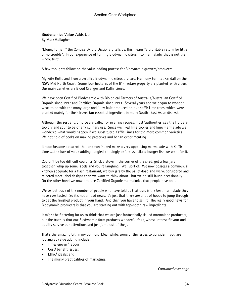### Biodynamics Value Adds Up

By Mark Gallagher

"Money for jam" the Concise Oxford Dictionary tells us, this means "a profitable return for little or no trouble". In our experience of turning Biodynamic citrus into marmalade, that is not the whole truth.

A few thoughts follow on the value adding process for Biodynamic growers/producers.

My wife Ruth, and I run a certified Biodynamic citrus orchard, Harmony Farm at Kendall on the NSW Mid North Coast. Some four hectares of the 51-hectare property are planted with citrus. Our main varieties are Blood Oranges and Kaffir Limes.

We have been Certified Biodynamic with Biological Farmers of Australia/Australian Certified Organic since 1997 and Certified Organic since 1993. Several years ago we began to wonder what to do with the many large and juicy fruit produced on our Kaffir Lime trees, which were planted mainly for their leaves (an essential ingredient in many South- East Asian dishes).

Although the zest and/or juice are called for in a few recipes, most 'authorities' say the fruit are too dry and sour to be of any culinary use. Since we liked lime pickles and lime marmalade we wondered what would happen if we substituted Kaffie Limes for the more common varieties. We got hold of books on making preserves and began experimenting.

It soon became apparent that one can indeed make a very appetising marmalade with Kaffir Limes.....the lure of value adding dangled enticingly before us. Like a hungry fish we went for it.

Couldn't be too difficult could it? Stick a stove in the corner of the shed, get a few jars together, whip up some labels and you're laughing. Well sort of. We now possess a commercial kitchen adequate for a flash restaurant, we buy jars by the pallet-load and we've considered and rejected more label designs than we want to think about. But we do still laugh occasionally. On the other hand we now produce Certified Organic marmalades that people rave about.

We've lost track of the number of people who have told us that ours is the best marmalade they have ever tasted. So it's not all bad news, it's just that there are a lot of hoops to jump through to get the finished product in your hand. And then you have to sell it. The really good news for Biodynamic producers is that you are starting out with top-notch raw ingredients.

It might be flattering for us to think that we are just fantastically skilled marmalade producers, but the truth is that our Biodynamic farm produces wonderful fruit, whose intense flavour and quality survive our attentions and just jump out of the jar.

That's the amazing bit, in my opinion. Meanwhile, some of the issues to consider if you are looking at value adding include:

- Time/ energy/ labour;
- Cost/ benefit issues;
- Ethic/ ideals; and
- The murky practicalities of marketing.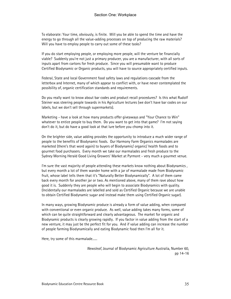To elaborate: Your time, obviously, is finite. Will you be able to spend the time and have the energy to go through all the value-adding processes on top of producing the raw materials? Will you have to employ people to carry out some of these tasks?

If you do start employing people, or employing more people, will the venture be financially viable? Suddenly you're not just a primary producer, you are a manufacturer, with all sorts of inputs apart from cartons for fresh produce. Since you will presumable want to produce Certified Biodynamic or Organic products, you will have to source appropriately certified inputs.

Federal, State and local Government food safety laws and regulations cascade from the letterbox and Internet, many of which appear to conflict with, or have never contemplated the possibility of, organic certification standards and requirements.

Do you really want to know about bar codes and product recall procedures? Is this what Rudolf Steiner was steering people towards in his Agriculture lectures (we don't have bar codes on our labels, but we don't sell through supermarkets).

Marketing - have a look at how many products offer giveaways and "Your Chance to Win" whatever to entice people to buy them. Do you want to get into that game? I'm not saying don't do it, but do have a good look at that lure before you chomp into it.

On the brighter side, value adding provides the opportunity to introduce a much wider range of people to the benefits of Biodynamic foods. Our Harmony Farm Organics marmalades are marketed (there's that word again) to buyers of Biodynamic/ organic/ health foods and to gourmet food purchasers. Every month we take our marmalades and fresh produce to the Sydney Morning Herald Good Living Growers' Market at Pyrmont - very much a gourmet venue.

I'm sure the vast majority of people attending these markets know nothing about Biodynamics , but every month a lot of them wander home with a jar of marmalade made from Biodynamic fruit, whose label tells them that it's "Naturally Better Biodynamically". A lot of them came back every month for another jar or two. As mentioned above, many of them rave about how good it is. Suddenly they are people who will begin to associate Biodynamics with quality. (Incidentally our marmalades are labelled and sold as Certified Organic because we are unable to obtain Certified Biodynamic sugar and instead make them using Certified Organic sugar).

In many ways, growing Biodynamic produce is already a form of value adding, when compared with conventional or even organic produce. As well, value adding takes many forms, some of which can be quite straightforward and clearly advantageous. The market for organic and Biodynamic products is clearly growing rapidly. If you factor in value adding from the start of a new venture, it may just be the perfect fit for you. And if value adding can increase the number of people farming Biodynamically and eating Biodynamic food then I'm all for it.

Here, try some of this marmalade......

Newsleaf, Journal of Biodynamic Agriculture Australia, Number 60, pp 14-16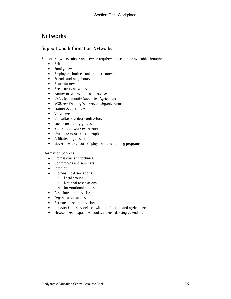# **Networks**

### Support and Information Networks

Support networks, labour and service requirements could be available through:

- Self
- Family members
- Employees, both casual and permanent
- Friends and neighbours
- Share farmers
- Seed savers networks
- Farmer networks and co-operatives
- CSA's (community Supported Agriculture)
- WOOFers (Willing Workers on Organic Farms)
- Trainees/apprentices
- Volunteers
- Consultants and/or contractors
- Local community groups
- Students on work experience
- Unemployed or retired people
- Affiliated organisations
- Government support employment and training programs.

#### Information Services

- Professional and technical
- Conferences and seminars
- Internet
- Biodynamic Associations:
	- o Local groups
	- o National associations
	- o International bodies
- Associated organisations
- Organic associations
- Permaculture organisations
- Industry bodies associated with horticulture and agriculture
- Newspapers, magazines, books, videos, planting calendars.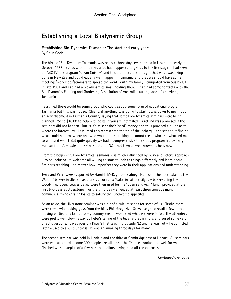# Establishing a Local Biodynamic Group

Establishing Bio-Dynamics Tasmania: The start and early years By Colin Cook

The birth of Bio-Dynamics Tasmania was really a three-day seminar held in Ulverstone early in October 1988. But as with all births, a lot had happened to get us to the live stage. I had seen, on ABC TV, the program "Clean Cuisine" and this prompted the thought that what was being done in New Zealand could equally well happen in Tasmania and that we should have some meetings/workshops/seminars to spread the word. With my family I emigrated from Sussex UK in late 1981 and had had a bio-dynamics small holding there. I had had some contacts with the Bio-Dynamics Farming and Gardening Association of Australia starting soon after arriving in Tasmania.

I assumed there would be some group who could set up some form of educational program in Tasmania but this was not so. Clearly, if anything was going to start it was down to me. I put an advertisement in Tasmania Country saying that some Bio-Dynamics seminars were being planned. "Send \$10.00 to help with costs, if you are interested"; a refund was promised if the seminars did not happen. But 30 folks sent their "seed" money and thus provided a guide as to where the interest lay. I assumed this represented the tip of the iceberg – and set about finding what could happen, where and who would do the talking. I cannot recall who and what led me to who and what! But quite quickly we had a comprehensive three-day program led by Terry Forman from Armidale and Peter Proctor of NZ – not then as well known as he is now.

From the beginning, Bio-Dynamics Tasmania was much influenced by Terry and Peter's approach – to be inclusive, to welcome all willing to start to look at things differently and learn about Steiner's teaching – no matter how imperfect they were in their applications and understanding.

Terry and Peter were supported by Hamish McKay from Sydney. Hamish – then the baker at the Waldorf bakery in Glebe – as a pre-cursor ran a "bake-in" at the Lilydale bakery using the wood-fired oven. Loaves baked were then used for the "open sandwich" lunch provided at the first two days at Ulverstone. For the third day we needed at least three times as many commercial "wholegrain" loaves to satisfy the lunch-time appetites!

As an aside, the Ulverstone seminar was a bit of a culture shock for some of us. Firstly, there were these wild looking guys from the hills, Phil, Greg, Neil, Steve, Leigh to recall a few – not looking particularly kempt to my pommy eyes! I wondered what we were in for. The attendees were pretty well blown away by Peter's telling of the bizarre preparations and posed some very direct questions. It was possibly Peter's first teaching outside NZ and he was not – he admitted later – used to such bluntness. It was an amazing three days for many.

The second seminar was held in Lilydale and the third at Cambridge east of Hobart. All seminars were well attended – some 300 people I recall – and the finances worked out well for we finished with a surplus of a few hundred dollars having paid all the expenses.